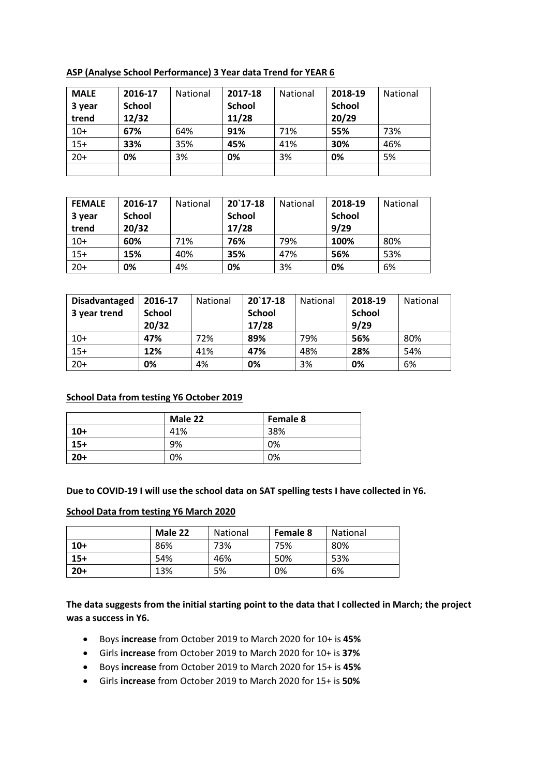**ASP (Analyse School Performance) 3 Year data Trend for YEAR 6**

| <b>MALE</b> | 2016-17       | <b>National</b> | 2017-18       | <b>National</b> | 2018-19       | National |
|-------------|---------------|-----------------|---------------|-----------------|---------------|----------|
| 3 year      | <b>School</b> |                 | <b>School</b> |                 | <b>School</b> |          |
| trend       | 12/32         |                 | 11/28         |                 | 20/29         |          |
| $10+$       | 67%           | 64%             | 91%           | 71%             | 55%           | 73%      |
| $15+$       | 33%           | 35%             | 45%           | 41%             | 30%           | 46%      |
| $20+$       | 0%            | 3%              | 0%            | 3%              | 0%            | 5%       |
|             |               |                 |               |                 |               |          |

| <b>FEMALE</b> | 2016-17       | <b>National</b> | $20'17-18$    | <b>National</b> | 2018-19       | <b>National</b> |
|---------------|---------------|-----------------|---------------|-----------------|---------------|-----------------|
| 3 year        | <b>School</b> |                 | <b>School</b> |                 | <b>School</b> |                 |
| trend         | 20/32         |                 | 17/28         |                 | 9/29          |                 |
| $10+$         | 60%           | 71%             | 76%           | 79%             | 100%          | 80%             |
| $15+$         | 15%           | 40%             | 35%           | 47%             | 56%           | 53%             |
| $20+$         | 0%            | 4%              | 0%            | 3%              | 0%            | 6%              |

| <b>Disadvantaged</b><br>3 year trend | 2016-17<br><b>School</b> | <b>National</b> | $20$ 17-18<br><b>School</b> | <b>National</b> | 2018-19<br><b>School</b> | National |
|--------------------------------------|--------------------------|-----------------|-----------------------------|-----------------|--------------------------|----------|
|                                      | 20/32                    |                 | 17/28                       |                 | 9/29                     |          |
| $10+$                                | 47%                      | 72%             | 89%                         | 79%             | 56%                      | 80%      |
| $15+$                                | 12%                      | 41%             | 47%                         | 48%             | 28%                      | 54%      |
| $20+$                                | 0%                       | 4%              | 0%                          | 3%              | 0%                       | 6%       |

### **School Data from testing Y6 October 2019**

|       | Male 22 | Female 8 |
|-------|---------|----------|
| $10+$ | 41%     | 38%      |
| $15+$ | 9%      | 0%       |
| $20+$ | 0%      | 0%       |

**Due to COVID-19 I will use the school data on SAT spelling tests I have collected in Y6.**

#### **School Data from testing Y6 March 2020**

|       | Male 22 | <b>National</b> | Female 8 | National |
|-------|---------|-----------------|----------|----------|
| $10+$ | 86%     | 73%             | 75%      | 80%      |
| $15+$ | 54%     | 46%             | 50%      | 53%      |
| $20+$ | 13%     | 5%              | 0%       | 6%       |

**The data suggests from the initial starting point to the data that I collected in March; the project was a success in Y6.**

- Boys **increase** from October 2019 to March 2020 for 10+ is **45%**
- Girls **increase** from October 2019 to March 2020 for 10+ is **37%**
- Boys **increase** from October 2019 to March 2020 for 15+ is **45%**
- Girls **increase** from October 2019 to March 2020 for 15+ is **50%**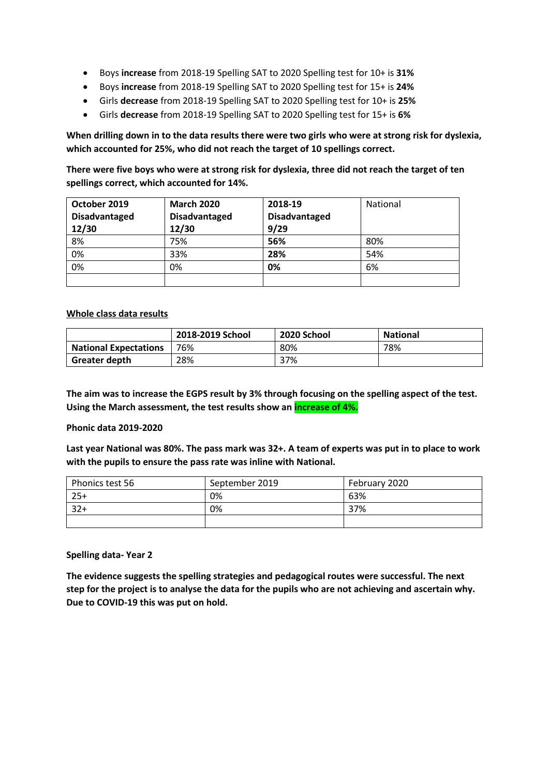- Boys **increase** from 2018-19 Spelling SAT to 2020 Spelling test for 10+ is **31%**
- Boys **increase** from 2018-19 Spelling SAT to 2020 Spelling test for 15+ is **24%**
- Girls **decrease** from 2018-19 Spelling SAT to 2020 Spelling test for 10+ is **25%**
- Girls **decrease** from 2018-19 Spelling SAT to 2020 Spelling test for 15+ is **6%**

**When drilling down in to the data results there were two girls who were at strong risk for dyslexia, which accounted for 25%, who did not reach the target of 10 spellings correct.** 

**There were five boys who were at strong risk for dyslexia, three did not reach the target of ten spellings correct, which accounted for 14%.**

| October 2019         | <b>March 2020</b>    | 2018-19              | <b>National</b> |
|----------------------|----------------------|----------------------|-----------------|
| <b>Disadvantaged</b> | <b>Disadvantaged</b> | <b>Disadvantaged</b> |                 |
| 12/30                | 12/30                | 9/29                 |                 |
| 8%                   | 75%                  | 56%                  | 80%             |
| 0%                   | 33%                  | 28%                  | 54%             |
| 0%                   | 0%                   | 0%                   | 6%              |
|                      |                      |                      |                 |

#### **Whole class data results**

|                              | 2018-2019 School | 2020 School | <b>National</b> |
|------------------------------|------------------|-------------|-----------------|
| <b>National Expectations</b> | 76%              | 80%         | 78%             |
| Greater depth                | 28%              | 37%         |                 |

**The aim was to increase the EGPS result by 3% through focusing on the spelling aspect of the test. Using the March assessment, the test results show an increase of 4%.**

#### **Phonic data 2019-2020**

**Last year National was 80%. The pass mark was 32+. A team of experts was put in to place to work with the pupils to ensure the pass rate was inline with National.**

| Phonics test 56 | September 2019 | February 2020 |
|-----------------|----------------|---------------|
| $25+$           | 0%             | 63%           |
| $32+$           | 0%             | 37%           |
|                 |                |               |

**Spelling data- Year 2**

**The evidence suggests the spelling strategies and pedagogical routes were successful. The next step for the project is to analyse the data for the pupils who are not achieving and ascertain why. Due to COVID-19 this was put on hold.**